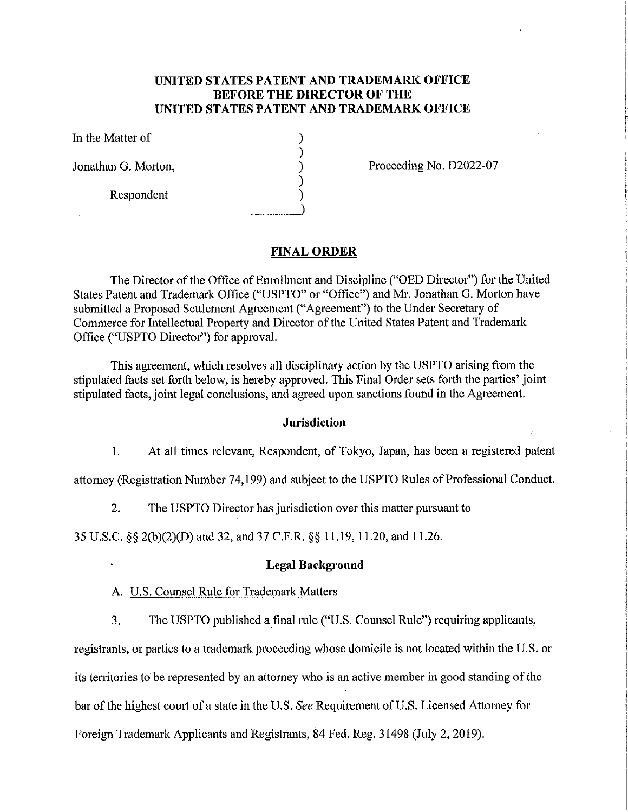# **UNITED STATES PATENT AND TRADEMARK OFFICE BEFORE THE DIRECTOR OF THE UNITED STATES PATENT AND TRADEMARK OFFICE**

) ) ) ) )

In the Matter of

Jonathan G. Motton,

Respondent

Proceeding No. D2022-07

#### **FINAL ORDER**

The Director of the Office of Enrollment and Discipline ("OED Director") for the United States Patent and Trademark Office ("USPTO" or "Office") and Mr. Jonathan G. Morton have submitted a Proposed Settlement Agreement ("Agreement") to the Under Secretary of Commerce for Intellectual Property and Director of the United States Patent and Trademark Office ("USPTO Director") for approval.

This agreement, which resolves all disciplinary action by the USPTO arising from the stipulated facts set fotth below, is hereby approved. This Final Order sets forth the patties' joint stipulated facts, joint legal conclusions, and agreed upon sanctions found in the Agreement.

#### **Jurisdiction**

I. At all times relevant, Respondent, of Tokyo, Japan, has been a registered patent

attorney (Registration Number 74,199) and subject to the USPTO Rules of Professional Conduct.

2. The USPTO Director has jurisdiction over this matter pursuant to

35 U.S.C. §§ 2(b )(2)(D) and 32, and 37 C.F.R. §§ 11.19, 11.20, and 11.26.

## **Legal Background**

- A. U.S. Counsel Rule for Trademark Matters
- 3. The USPTO published a final rule ("U.S. Counsel Rule") requiring applicants,

registrants, or parties to a trademark proceeding whose domicile is not located within the U.S. or

its territories to be represented by an attorney who is an active member in good standing of the

bar of the highest court of a state in the U.S. *See* Requirement of U.S. Licensed Attorney for

Foreign Trademark Applicants and Registrants, 84 Fed. Reg. 31498 (July 2, 2019).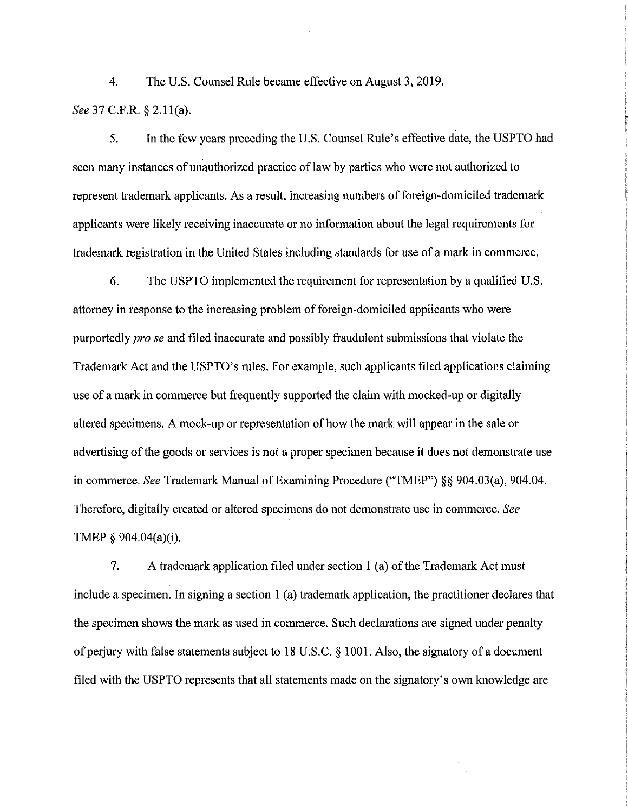4. The U.S. Counsel Rule became effective on August 3, 2019. *See* 37 C.F.R. § 2.1 l(a).

5. In the few years preceding the U.S. Counsel Rule's effective date, the USPTO had seen many instances of unauthorized practice of law by parties who were not authorized to represent trademark applicants. As a result, increasing numbers of foreign-domiciled trademark applicants were likely receiving inaccurate or no information about the legal requirements for trademark registration in the United States including standards for use of a mark in commerce.

6. The USPTO implemented the requirement for representation by a qualified U.S. attorney in response to the increasing problem of foreign-domiciled applicants who were purportedly *pro se* and filed inaccurate and possibly fraudulent submissions that violate the Trademark Act and the USPTO's rules. For example, such applicants filed applications claiming use of a mark in commerce but frequently supported the claim with mocked-up or digitally altered specimens. A mock-up or representation of how the mark will appear in the sale or advertising of the goods or services is not a proper specimen because it does not demonstrate use in commerce. *See* Trademark Manual of Examining Procedure ("TMEP") §§ 904.03(a), 904.04. Therefore, digitally created or altered specimens do not demonstrate use in commerce. *See*  TMEP § 904.04(a)(i).

7. A trademark application filed under section 1 (a) of the Trademark Act must include a specimen. In signing a section 1 (a) trademark application, the practitioner declares that the specimen shows the mark as used in commerce. Such declarations are signed under penalty of perjury with false statements subject to 18 U.S.C. § 1001. Also, the signatory of a document filed with the USPTO represents that all statements made on the signatory's own knowledge are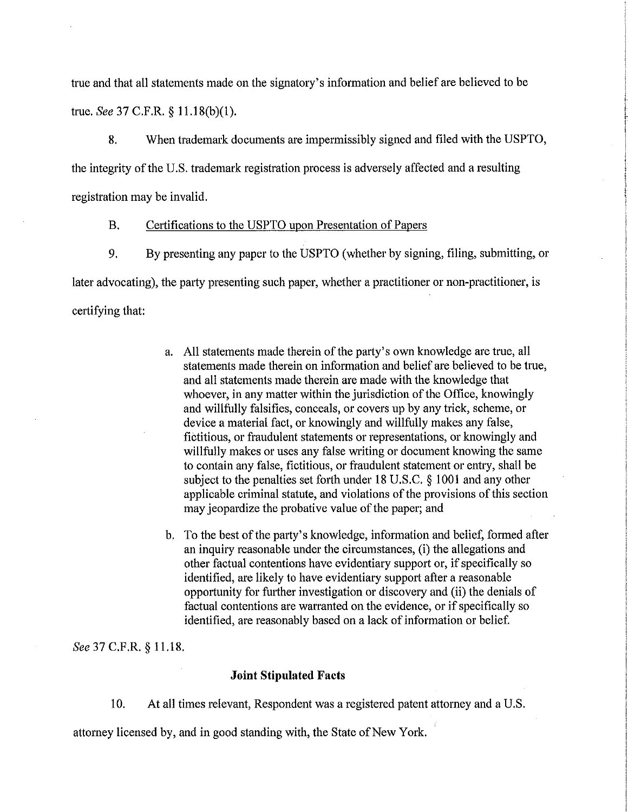true and that all statements made on the signatory's information and belief are believed to be true. *See* 37 C.F.R. § 11.18(b)(l).

8. When trademark documents are impermissibly signed and filed with the USPTO, the integrity of the U.S. trademark registration process is adversely affected and a resulting registration may be invalid.

#### B. Certifications to the USPTO upon Presentation of Papers

9. By presenting any paper to the USPTO (whether by signing, filing, submitting, or later advocating), the party presenting such paper, whether a practitioner or non-practitioner, is certifying that:

- a. All statements made therein of the party's own knowledge are true, all statements made therein on information and belief are believed to be true, and all statements made therein are made with the knowledge that whoever, in any matter within the jurisdiction of the Office, knowingly and willfully falsifies, conceals, or covers up by any trick, scheme, or device a material fact, or knowingly and willfully makes any false, fictitious, or fraudulent statements or representations, or knowingly and willfully makes or uses any false writing or document knowing the same to contain any false, fictitious, or fraudulent statement or entry, shall be subject to the penalties set forth under 18 U.S.C. § 1001 and any other applicable criminal statute, and violations of the provisions of this section may jeopardize the probative value of the paper; and
- b. To the best of the party's knowledge, information and belief, formed after an inquiry reasonable under the circumstances, (i) the allegations and other factual contentions have evidentiary support or, if specifically so identified, are likely to have evidentiary support after a reasonable opportunity for further investigation or discovery and (ii) the denials of factual contentions are warranted on the evidence, or if specifically so identified, are reasonably based on a lack of information or belief.

*See* 37 C.F.R. § 11.18.

#### **Joint Stipulated Facts**

10. At all times relevant, Respondent was a registered patent attorney and a U.S.

attorney licensed by, and in good standing with, the State of New York.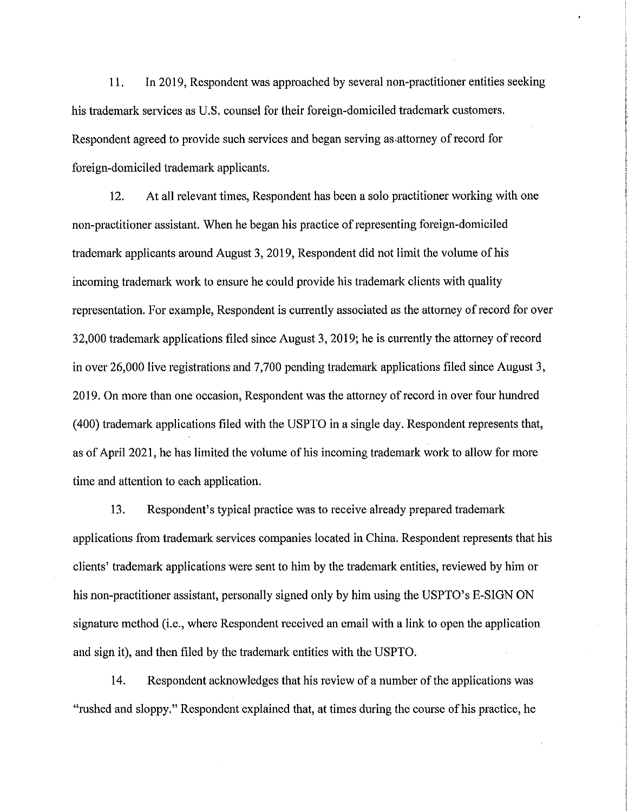11. In 2019, Respondent was approached by several non-practitioner entities seeking his trademark services as U.S. counsel for their foreign-domiciled trademark customers. Respondent agreed to provide such services and began serving as-attorney of record for foreign-domiciled trademark applicants.

12. At all relevant times, Respondent has been a solo practitioner working with one non-practitioner assistant. When he began his practice of representing foreign-domiciled trademark applicants around August 3, 2019, Respondent did not limit the volume of his incoming trademark work to ensure he could provide his trademark clients with quality representation. For example, Respondent is currently associated as the attorney of record for over 32,000 trademark applications filed since August 3, 2019; he is currently the attorney ofrecord in over 26,000 live registrations and 7,700 pending trademark applications filed since August 3, 2019. On more than one occasion, Respondent was the attorney of record in over four hundred ( 400) trademark applications filed with the USPTO in a single day. Respondent represents that, as of April 2021, he has limited the volume of his incoming trademark work to allow for more time and attention to each application.

13. Respondent's typical practice was to receive already prepared trademark applications from trademark services companies located in China. Respondent represents that his clients' trademark applications were sent to him by the trademark entities, reviewed by him or his non-practitioner assistant, personally signed only by him using the USPTO's E-SIGN ON signature method (i.e., where Respondent received an email with a link to open the application and sign it), and then filed by the trademark entities with the USPTO.

14. Respondent acknowledges that his review of a number of the applications was "rushed and sloppy." Respondent explained that, at times during the course of his practice, he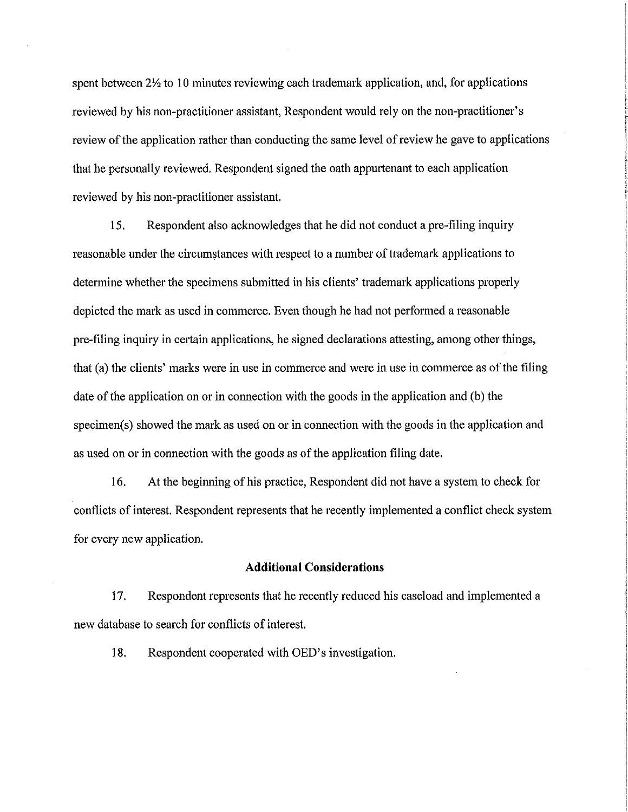spent between  $2\frac{1}{2}$  to 10 minutes reviewing each trademark application, and, for applications reviewed by his non-practitioner assistant, Respondent would rely on the non-practitioner's review of the application rather than conducting the same level of review he gave to applications that he personally reviewed. Respondent signed the oath appurtenant to each application reviewed by his non-practitioner assistant.

15. Respondent also acknowledges that he did not conduct a pre-filing inquiry reasonable under the circumstances with respect to a number of trademark applications to determine whether the specimens submitted in his clients' trademark applications properly depicted the mark as used in commerce. Even though he had not performed a reasonable pre-filing inquiry in certain applications, he signed declarations attesting, among other things, that (a) the clients' marks were in use in commerce and were in use in commerce as of the filing date of the application on or in connection with the goods in the application and (b) the specimen(s) showed the mark as used on or in connection with the goods in the application and as used on or in connection with the goods as of the application filing date.

16. At the beginning of his practice, Respondent did not have a system to check for conflicts of interest. Respondent represents that he recently implemented a conflict check system for every new application.

#### **Additional Considerations**

17. Respondent represents that he recently reduced his caseload and implemented a new database to search for conflicts of interest.

18. Respondent cooperated with OED's investigation.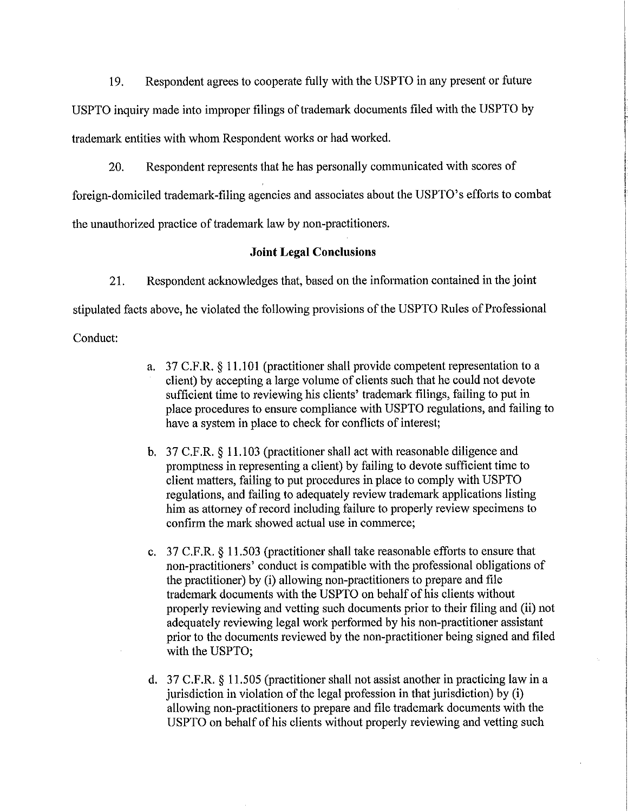19. Respondent agrees to cooperate fully with the USPTO in any present or future USPTO inquiry made into improper filings of trademark documents filed with the USPTO by trademark entities with whom Respondent works or had worked.

20. Respondent represents that he has personally communicated with scores of foreign-domiciled trademark-filing agencies and associates about the USPTO's efforts to combat the unauthorized practice of trademark law by non-practitioners.

# **Joint Legal Conclusions**

21. Respondent acknowledges that, based on the information contained in the joint stipulated facts above, he violated the following provisions of the USPTO Rules of Professional Conduct:

- a. 37 C.F.R. § 11.101 (practitioner shall provide competent representation to a client) by accepting a large volume of clients such that he could not devote sufficient time to reviewing his clients' trademark filings, failing to put in place procedures to ensure compliance with USPTO regulations, and failing to have a system in place to check for conflicts of interest;
- b. 37 C.F.R. § 11.103 (practitioner shall act with reasonable diligence and promptness in representing a client) by failing to devote sufficient time to client matters, failing to put procedures in place to comply with USPTO regulations, and failing to adequately review trademark applications listing him as attorney of record including failure to properly review specimens to confirm the mark showed actual use in commerce;
- c. 37 C.F.R. § 11.503 (practitioner shall take reasonable efforts to ensure that non-practitioners' conduct is compatible with the professional obligations of the practitioner) by (i) allowing non-practitioners to prepare and file trademark documents with the USPTO on behalf of his clients without properly reviewing and vetting such documents prior to their filing and (ii) not adequately reviewing legal work performed by his non-practitioner assistant prior to the documents reviewed by the non-practitioner being signed and filed with the USPTO;
- d. 37 C.F.R. § 11.505 (practitioner shall not assist another in practicing law in a jurisdiction in violation of the legal profession in that jurisdiction) by (i) allowing non-practitioners to prepare and file trademark documents with the US PTO on behalf of his clients without properly reviewing and vetting such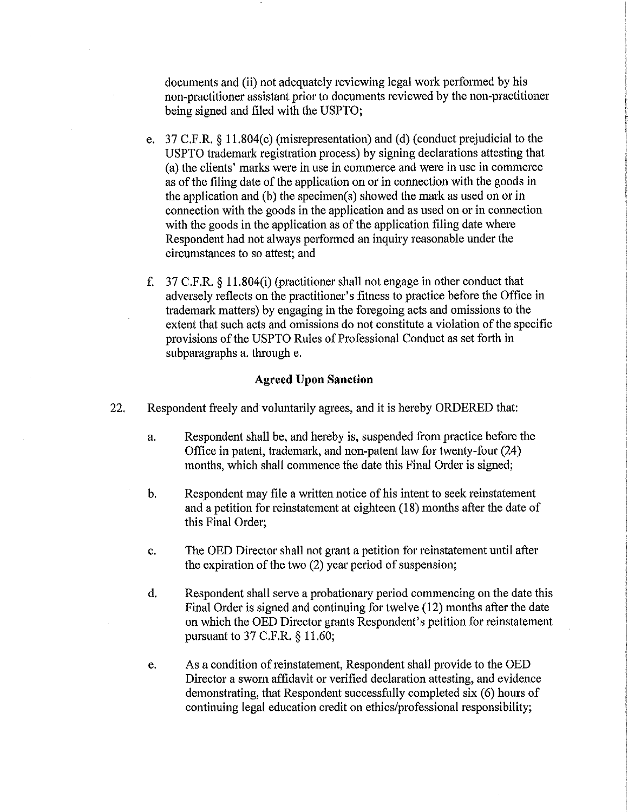documents and (ii) not adequately reviewing legal work performed by his non-practitioner assistant prior to documents reviewed by the non-practitioner being signed and filed with the USPTO;

- e. 37 C.F.R. § 11.804(c) (misrepresentation) and (d) (conduct prejudicial to the US PTO trademark registration process) by signing declarations attesting that (a) the clients' marks were in use in commerce and were in use in commerce as of the filing date of the application on or in connection with the goods in the application and (b) the specimen(s) showed the mark as used on or in connection with the goods in the application and as used on or in connection with the goods in the application as of the application filing date where Respondent had not always performed an inquiry reasonable under the circumstances to so attest; and
- f. 37 C.F.R. § 11.804(i) (practitioner shall not engage in other conduct that adversely reflects on the practitioner's fitness to practice before the Office in trademark matters) by engaging in the foregoing acts and omissions to the extent that such acts and omissions do not constitute a violation of the specific provisions of the USPTO Rules of Professional Conduct as set forth in subparagraphs a. through e.

### **Agreed Upon Sanction**

- 22. Respondent freely and voluntarily agrees, and it is hereby ORDERED that:
	- a. Respondent shall be, and hereby is, suspended from practice before the Office in patent, trademark, and non-patent law for twenty-four (24) months, which shall commence the date this Final Order is signed;
	- b. Respondent may file a written notice of his intent to seek reinstatement and a petition for reinstatement at eighteen (18) months after the date of this Final Order;
	- c. The OED Director shall not grant a petition for reinstatement until after the expiration of the two (2) year period of suspension;
	- d. Respondent shall serve a probationary period commencing on the date this Final Order is signed and continuing for twelve (12) months after the date on which the OED Director grants Respondent's petition for reinstatement pursuant to 37 C.F.R. § 11.60;
	- e. As a condition of reinstatement, Respondent shall provide to the OED Director a sworn affidavit or verified declaration attesting, and evidence demonstrating, that Respondent successfully completed six (6) hours of continuing legal education credit on ethics/professional responsibility;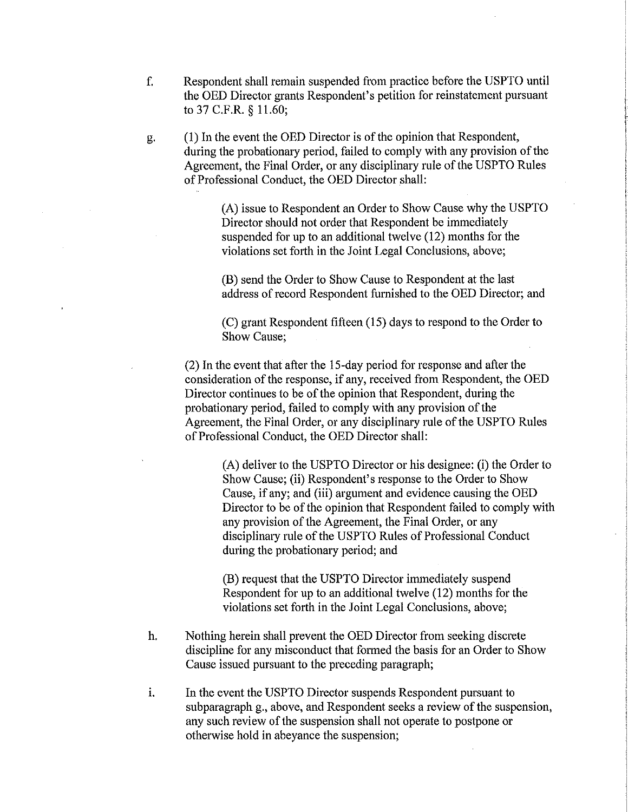- f. Respondent shall remain suspended from practice before the USPTO until the OED Director grants Respondent's petition for reinstatement pursuant to 37 C.F.R. § 11.60;
- g. (1) In the event the OED Director is of the opinion that Respondent, during the probationary period, failed to comply with any provision of the Agreement, the Final Order, or any disciplinary rule of the USPTO Rules of Professional Conduct, the OED Director shall:

(A) issue to Respondent an Order to Show Cause why the USPTO Director should not order that Respondent be immediately suspended for up to an additional twelve (12) months for the violations set forth in the Joint Legal Conclusions, above;

(B) send the Order to Show Cause to Respondent at the last address of record Respondent furnished to the OED Director; and

(C) grant Respondent fifteen (15) days to respond to the Order to Show Cause;

(2) In the event that after the 15-day period for response and after the consideration of the response, if any, received from Respondent, the OED Director continues to be of the opinion that Respondent, during the probationary period, failed to comply with any provision of the Agreement, the Final Order, or any disciplinary rule of the USPTO Rules of Professional Conduct, the OED Director shall:

> (A) deliver to the USPTO Director or his designee: (i) the Order to Show Cause; (ii) Respondent's response to the Order to Show Cause, if any; and (iii) argument and evidence causing the OED Director to be of the opinion that Respondent failed to comply with any provision of the Agreement, the Final Order, or any disciplinary rule of the USPTO Rules of Professional Conduct during the probationary period; and

(B) request that the USPTO Director immediately suspend Respondent for up to an additional twelve (12) months for the violations set forth in the Joint Legal Conclusions, above;

- h. Nothing herein shall prevent the OED Director from seeking discrete discipline for any misconduct that formed the basis for an Order to Show Cause issued pursuant to the preceding paragraph;
- i. In the event the USPTO Director suspends Respondent pursuant to subparagraph g., above, and Respondent seeks a review of the suspension, any such review of the suspension shall not operate to postpone or otherwise hold in abeyance the suspension;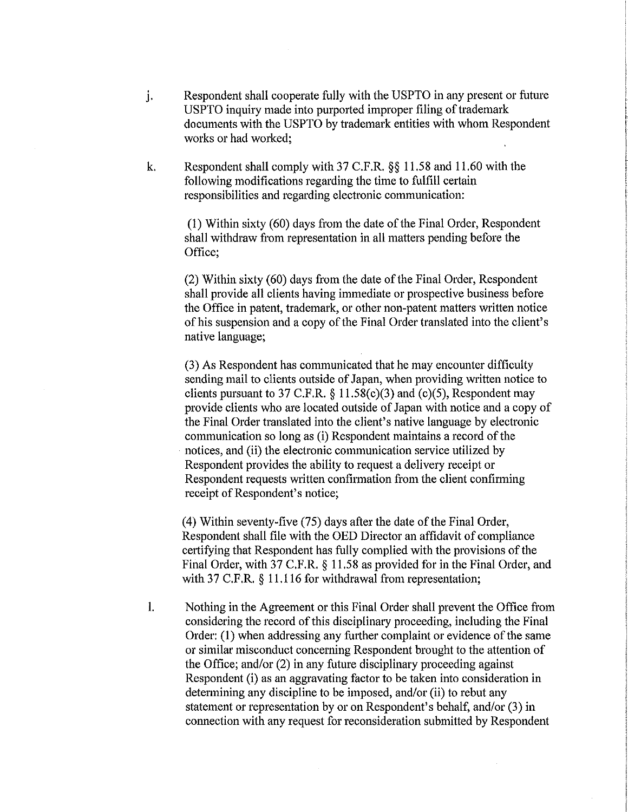- j. Respondent shall cooperate fully with the USPTO in any present or future US PTO inquiry made into purported improper filing of trademark documents with the USPTO by trademark entities with whom Respondent works or had worked;
- k. Respondent shall comply with 37 C.F.R. §§ 11.58 and 11.60 with the following modifications regarding the time to fulfill certain responsibilities and regarding electronic communication:

(I) Within sixty ( 60) days from the date of the Final Order, Respondent shall withdraw from representation in all matters pending before the Office;

(2) Within sixty (60) days from the date of the Final Order, Respondent shall provide all clients having immediate or prospective business before the Office in patent, trademark, or other non-patent matters written notice of his suspension and a copy of the Final Order translated into the client's native language;

(3) As Respondent has communicated that he may encounter difficulty sending mail to clients outside of Japan, when providing written notice to clients pursuant to 37 C.F.R.  $\S$  11.58(c)(3) and (c)(5), Respondent may provide clients who are located outside of Japan with notice and a copy of the Final Order translated into the client's native language by electronic communication so long as (i) Respondent maintains a record of the notices, and (ii) the electronic communication service utilized by Respondent provides the ability to request a delivery receipt or Respondent requests written confirmation from the client confirming receipt of Respondent's notice;

(4) Within seventy-five (75) days after the date of the Final Order, Respondent shall file with the OED Director an affidavit of compliance certifying that Respondent has fully complied with the provisions of the Final Order, with 37 C.F.R. § 11.58 as provided for in the Final Order, and with 37 C.F.R. § 11.116 for withdrawal from representation;

I. Nothing in the Agreement or this Final Order shall prevent the Office from considering the record of this disciplinary proceeding, including the Final Order: (1) when addressing any further complaint or evidence of the same or similar misconduct concerning Respondent brought to the attention of the Office; and/or (2) in any future disciplinary proceeding against Respondent (i) as an aggravating factor to be taken into consideration in determining any discipline to be imposed, and/or (ii) to rebut any statement or representation by or on Respondent's behalf, and/or (3) in connection with any request for reconsideration submitted by Respondent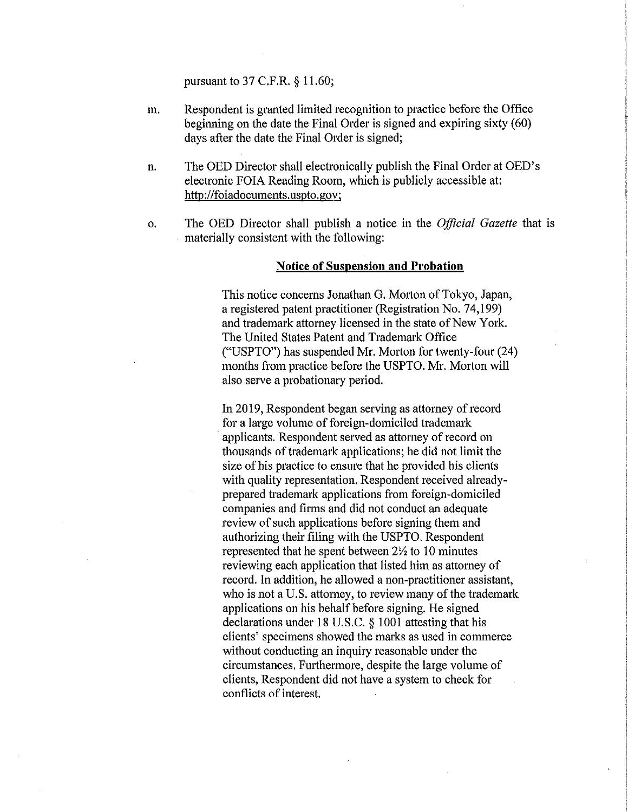pursuant to 37 C.F.R. § 11.60;

- m. Respondent is granted limited recognition to practice before the Office beginning on the date the Final Order is signed and expiring sixty (60) days after the date the Final Order is signed;
- n. The OED Director shall electronically publish the Final Order at OED's electronic FOIA Reading Room, which is publicly accessible at: http://foiadocuments.uspto.gov;
- o. The OED Director shall publish a notice in the *Official Gazette* that is . materially consistent with the following:

### **Notice of Suspension and Probation**

This notice concerns Jonathan G. Morton of Tokyo, Japan, a registered patent practitioner (Registration No. 74,199) and trademark attorney licensed in the state of New York. The United States Patent and Trademark Office ("USPTO") has suspended **Mr.** Morton for twenty-four (24) months from practice before the USPTO. Mr. Morton will also serve a probationary period.

In 2019, Respondent began serving as attorney of record for a large volume of foreign-domiciled trademark applicants. Respondent served as attorney of record on thousands of trademark applications; he did not limit the size of his practice to ensure that he provided his clients with quality representation. Respondent received alreadyprepared trademark applications from foreign-domiciled companies and firms and did not conduct an adequate review of such applications before signing them and authorizing their filing with the USPTO. Respondent represented that he spent between  $2\frac{1}{2}$  to 10 minutes reviewing each application that listed him as attorney of record. In addition, he allowed a non-practitioner assistant, who is not a U.S. attorney, to review many of the trademark applications on his behalf before signing. He signed declarations under 18 U.S.C. § 1001 attesting that his clients' specimens showed the marks as used in commerce without conducting an inquiry reasonable under the circumstances. Furthermore, despite the large volume of clients, Respondent did not have a system to check for conflicts of interest.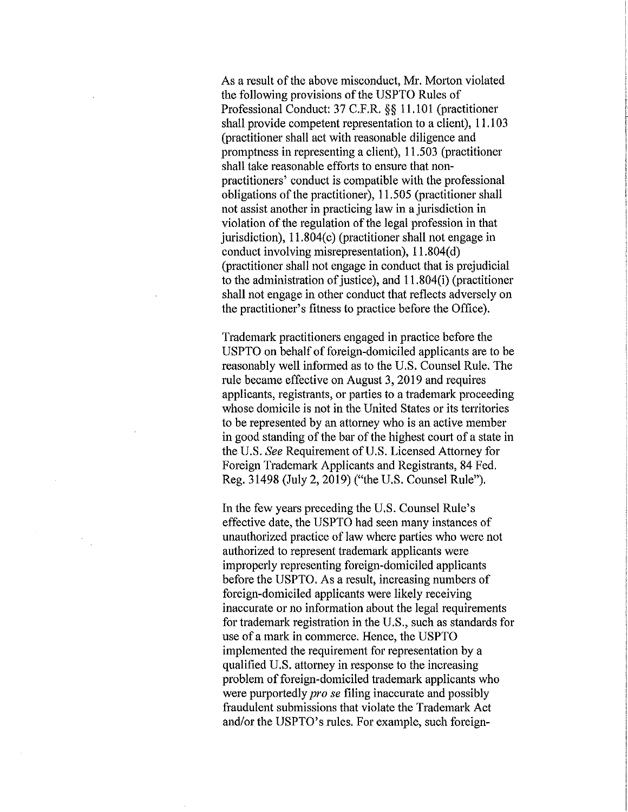As a result of the above misconduct, Mr. Morton violated the following provisions of the USPTO Rules of Professional Conduct: 37 C.F.R. §§ 11.101 (practitioner shall provide competent representation to a client), 11.103 (practitioner shall act with reasonable diligence and promptness in representing a client), 11.503 (practitioner shall take reasonable efforts to ensure that nonpractitioners' conduct is compatible with the professional obligations of the practitioner), 11.505 (practitioner shall not assist another in practicing law in a jurisdiction in violation of the regulation of the legal profession in that jurisdiction),  $11.804(c)$  (practitioner shall not engage in conduct involving misrepresentation), 11.804(d) (practitioner shall not engage in conduct that is prejudicial to the administration of justice), and  $11.804(i)$  (practitioner shall not engage in other conduct that reflects adversely on the practitioner's fitness to practice before the Office).

Trademark practitioners engaged in practice before the USPTO on behalf of foreign-domiciled applicants are to be reasonably well informed as to the U.S. Counsel Rule. The rule became effective on August 3, 2019 and requires applicants, registrants, or parties to a trademark proceeding whose domicile is not in the United States or its territories to be represented by an attorney who is an active member in good standing of the bar of the highest court of a state in the U.S. *See* Requirement of U.S. Licensed Attorney for Foreign Trademark Applicants and Registrants, 84 Fed. Reg. 31498 (July 2, 2019) ("the U.S. Counsel Rule").

In the few years preceding the U.S. Counsel Rule's effective date, the USPTO had seen many instances of unauthorized practice of law where parties who were not authorized to represent trademark applicants were improperly representing foreign-domiciled applicants before the USPTO. As a result, increasing numbers of foreign-domiciled applicants were likely receiving inaccurate or no information about the legal requirements for trademark registration in the U.S., such as standards for use of a mark in commerce. Hence, the USPTO implemented the requirement for representation by a qualified U.S. attorney in response to the increasing problem of foreign-domiciled trademark applicants who were purportedly *pro se* filing inaccurate and possibly fraudulent submissions that violate the Trademark Act and/or the USPTO's rules. For example, such foreign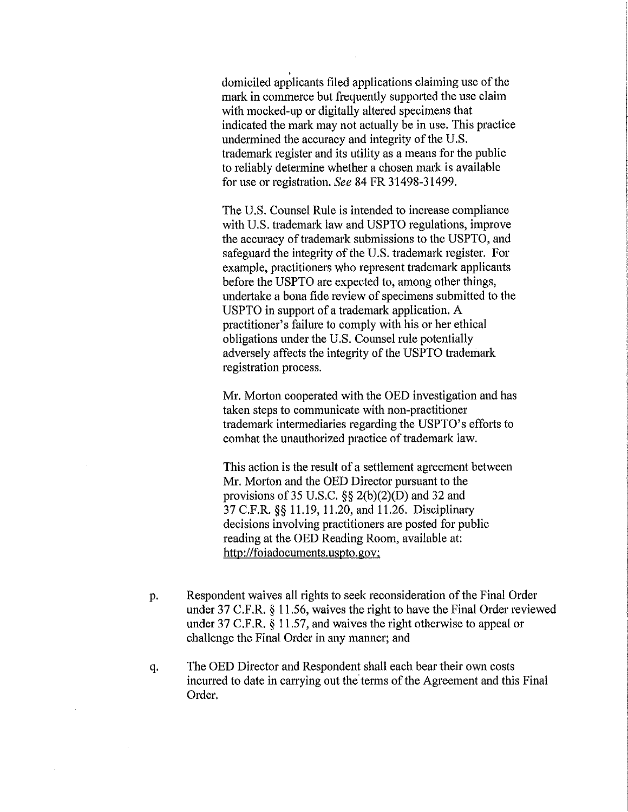. domiciled applicants filed applications claiming use of the mark in commerce but frequently supported the use claim with mocked-up or digitally altered specimens that indicated the mark may not actually be in use. This practice undermined the accuracy and integrity of the U.S. trademark register and its utility as a means for the public to reliably determine whether a chosen mark is available for use or registration. *See* 84 FR 31498-31499.

The U.S. Counsel Rule is intended to increase compliance with U.S. trademark law and USPTO regulations, improve the accuracy of trademark submissions to the USPTO, and safeguard the integrity of the U.S. trademark register. For example, practitioners who represent trademark applicants before the USPTO are expected to, among other things, undertake a bona fide review of specimens submitted to the USPTO in support of a trademark application. A practitioner's failure to comply with his or her ethical obligations under the U.S. Counsel rule potentially adversely affects the integrity of the USPTO trademark registration process.

Mr. Morton cooperated with the OED investigation and has taken steps to communicate with non-practitioner trademark intermediaries regarding the USPTO's efforts to combat the unauthorized practice of trademark law.

This action is the result of a settlement agreement between Mr. Morton and the OED Director pursuant to the provisions of 35 U.S.C.  $\S\S 2(b)(2)(D)$  and 32 and 37 C.F.R. §§ 11.19, 11.20, and 11.26. Disciplinaty decisions involving practitioners are posted for public reading at the OED Reading Room, available at: http://foiadocuments.uspto.gov;

- p. Respondent waives all rights to seek reconsideration of the Final Order under 37 C.F.R. § 11.56, waives the right to have the Final Order reviewed under 37 C.F.R. § 11.57, and waives the right otherwise to appeal or challenge the Final Order in any manner; and
- q. The OED Director and Respondent shall each bear their own costs incurred to date in carrying out the terms of the Agreement and this Final Order.